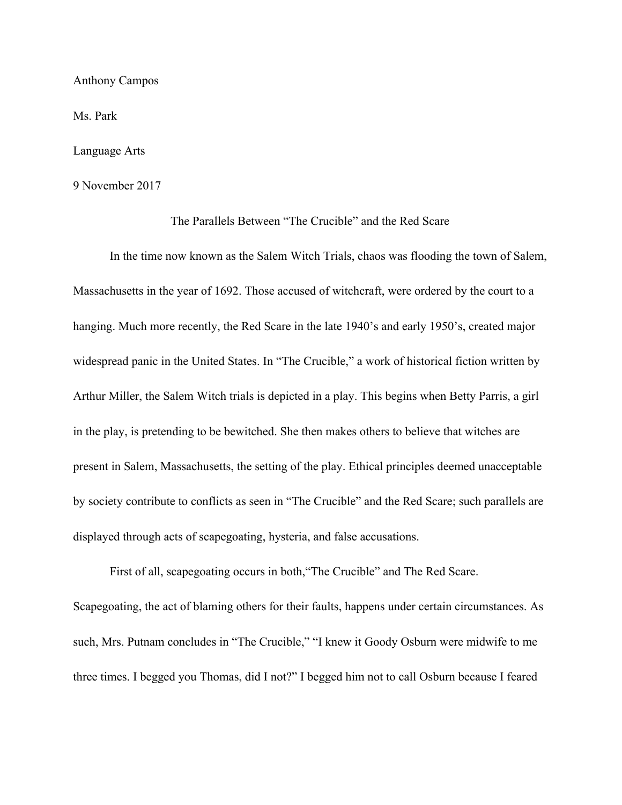Anthony Campos

Ms. Park

Language Arts

9 November 2017

## The Parallels Between "The Crucible" and the Red Scare

In the time now known as the Salem Witch Trials, chaos was flooding the town of Salem, Massachusetts in the year of 1692. Those accused of witchcraft, were ordered by the court to a hanging. Much more recently, the Red Scare in the late 1940's and early 1950's, created major widespread panic in the United States. In "The Crucible," a work of historical fiction written by Arthur Miller, the Salem Witch trials is depicted in a play. This begins when Betty Parris, a girl in the play, is pretending to be bewitched. She then makes others to believe that witches are present in Salem, Massachusetts, the setting of the play. Ethical principles deemed unacceptable by society contribute to conflicts as seen in "The Crucible" and the Red Scare; such parallels are displayed through acts of scapegoating, hysteria, and false accusations.

First of all, scapegoating occurs in both,"The Crucible" and The Red Scare. Scapegoating, the act of blaming others for their faults, happens under certain circumstances. As such, Mrs. Putnam concludes in "The Crucible," "I knew it Goody Osburn were midwife to me three times. I begged you Thomas, did I not?" I begged him not to call Osburn because I feared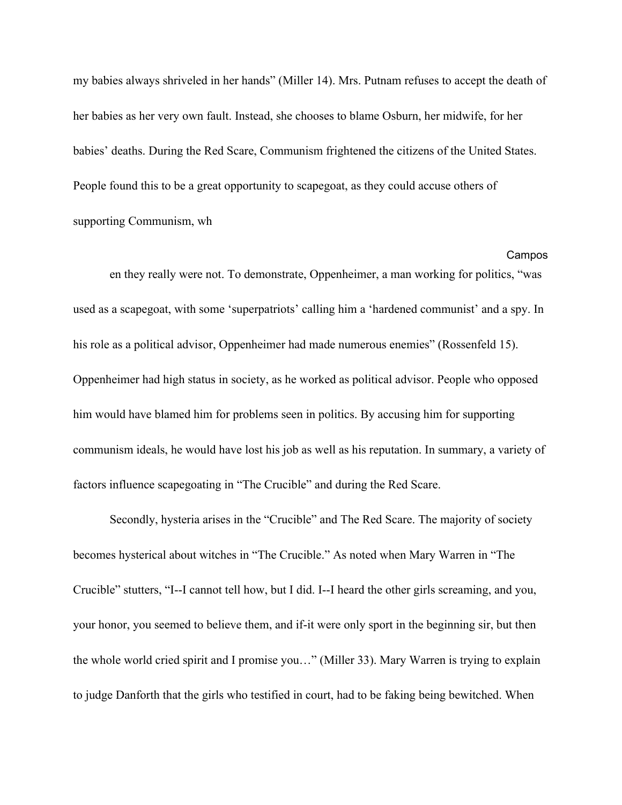my babies always shriveled in her hands" (Miller 14). Mrs. Putnam refuses to accept the death of her babies as her very own fault. Instead, she chooses to blame Osburn, her midwife, for her babies' deaths. During the Red Scare, Communism frightened the citizens of the United States. People found this to be a great opportunity to scapegoat, as they could accuse others of supporting Communism, wh

Campos en they really were not. To demonstrate, Oppenheimer, a man working for politics, "was used as a scapegoat, with some 'superpatriots' calling him a 'hardened communist' and a spy. In his role as a political advisor, Oppenheimer had made numerous enemies" (Rossenfeld 15). Oppenheimer had high status in society, as he worked as political advisor. People who opposed him would have blamed him for problems seen in politics. By accusing him for supporting communism ideals, he would have lost his job as well as his reputation. In summary, a variety of factors influence scapegoating in "The Crucible" and during the Red Scare.

Secondly, hysteria arises in the "Crucible" and The Red Scare. The majority of society becomes hysterical about witches in "The Crucible." As noted when Mary Warren in "The Crucible" stutters, "I--I cannot tell how, but I did. I--I heard the other girls screaming, and you, your honor, you seemed to believe them, and if-it were only sport in the beginning sir, but then the whole world cried spirit and I promise you…" (Miller 33). Mary Warren is trying to explain to judge Danforth that the girls who testified in court, had to be faking being bewitched. When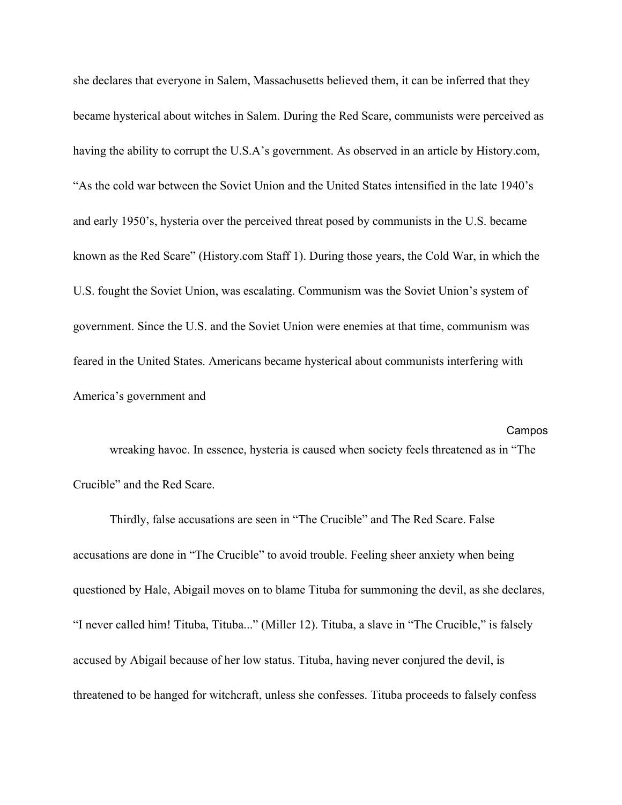she declares that everyone in Salem, Massachusetts believed them, it can be inferred that they became hysterical about witches in Salem. During the Red Scare, communists were perceived as having the ability to corrupt the U.S.A's government. As observed in an article by History.com, "As the cold war between the Soviet Union and the United States intensified in the late 1940's and early 1950's, hysteria over the perceived threat posed by communists in the U.S. became known as the Red Scare" (History.com Staff 1). During those years, the Cold War, in which the U.S. fought the Soviet Union, was escalating. Communism was the Soviet Union's system of government. Since the U.S. and the Soviet Union were enemies at that time, communism was feared in the United States. Americans became hysterical about communists interfering with America's government and

## Campos wreaking havoc. In essence, hysteria is caused when society feels threatened as in "The Crucible" and the Red Scare.

Thirdly, false accusations are seen in "The Crucible" and The Red Scare. False accusations are done in "The Crucible" to avoid trouble. Feeling sheer anxiety when being questioned by Hale, Abigail moves on to blame Tituba for summoning the devil, as she declares, "I never called him! Tituba, Tituba..." (Miller 12). Tituba, a slave in "The Crucible," is falsely accused by Abigail because of her low status. Tituba, having never conjured the devil, is threatened to be hanged for witchcraft, unless she confesses. Tituba proceeds to falsely confess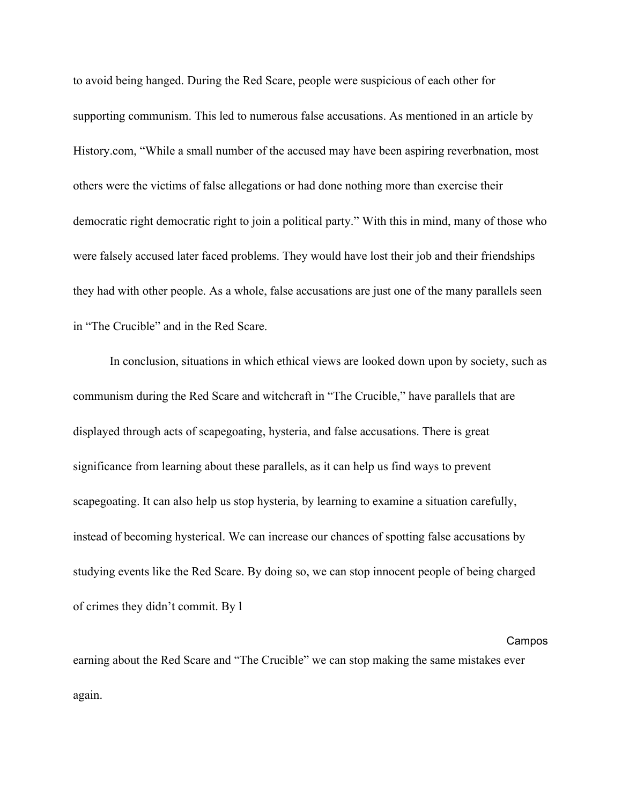to avoid being hanged. During the Red Scare, people were suspicious of each other for supporting communism. This led to numerous false accusations. As mentioned in an article by History.com, "While a small number of the accused may have been aspiring reverbnation, most others were the victims of false allegations or had done nothing more than exercise their democratic right democratic right to join a political party." With this in mind, many of those who were falsely accused later faced problems. They would have lost their job and their friendships they had with other people. As a whole, false accusations are just one of the many parallels seen in "The Crucible" and in the Red Scare.

In conclusion, situations in which ethical views are looked down upon by society, such as communism during the Red Scare and witchcraft in "The Crucible," have parallels that are displayed through acts of scapegoating, hysteria, and false accusations. There is great significance from learning about these parallels, as it can help us find ways to prevent scapegoating. It can also help us stop hysteria, by learning to examine a situation carefully, instead of becoming hysterical. We can increase our chances of spotting false accusations by studying events like the Red Scare. By doing so, we can stop innocent people of being charged of crimes they didn't commit. By l

Campos earning about the Red Scare and "The Crucible" we can stop making the same mistakes ever again.